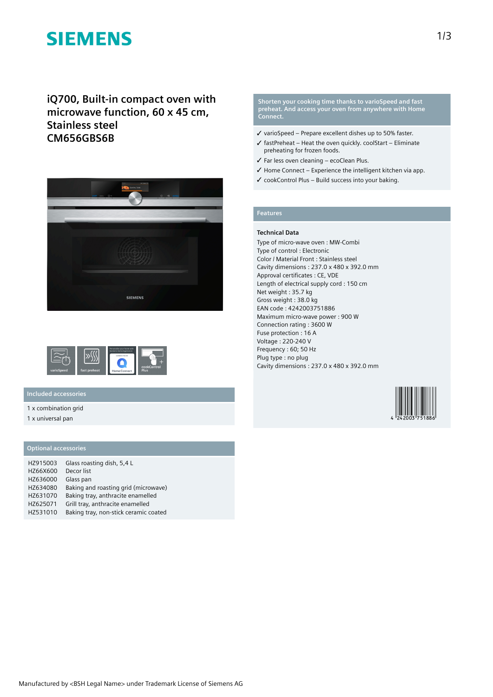# **SIEMENS**

**iQ700, Built-in compact oven with microwave function, 60 x 45 cm, Stainless steel CM656GBS6B**





### **Included accessories**

1 x combination grid

1 x universal pan

## **Optional accessories**

| HZ915003 | Glass roasting dish, 5,4 L            |  |
|----------|---------------------------------------|--|
| HZ66X600 | Decor list                            |  |
| HZ636000 | Glass pan                             |  |
| HZ634080 | Baking and roasting grid (microwave)  |  |
| HZ631070 | Baking tray, anthracite enamelled     |  |
| HZ625071 | Grill tray, anthracite enamelled      |  |
| HZ531010 | Baking tray, non-stick ceramic coated |  |

#### **Shorten your cooking time thanks to varioSpeed and fast preheat. And access your oven from anywhere with Home Connect.**

- ✓ varioSpeed Prepare excellent dishes up to 50% faster.
- $\checkmark$  fastPreheat Heat the oven quickly. coolStart Eliminate preheating for frozen foods.
- ✓ Far less oven cleaning ecoClean Plus.
- $\checkmark$  Home Connect Experience the intelligent kitchen via app.
- ✓ cookControl Plus Build success into your baking.

## **Features**

#### **Technical Data**

Type of micro-wave oven : MW-Combi Type of control : Electronic Color / Material Front : Stainless steel Cavity dimensions : 237.0 x 480 x 392.0 mm Approval certificates : CE, VDE Length of electrical supply cord : 150 cm Net weight : 35.7 kg Gross weight : 38.0 kg EAN code : 4242003751886 Maximum micro-wave power : 900 W Connection rating : 3600 W Fuse protection : 16 A Voltage : 220-240 V Frequency : 60; 50 Hz Plug type : no plug Cavity dimensions : 237.0 x 480 x 392.0 mm

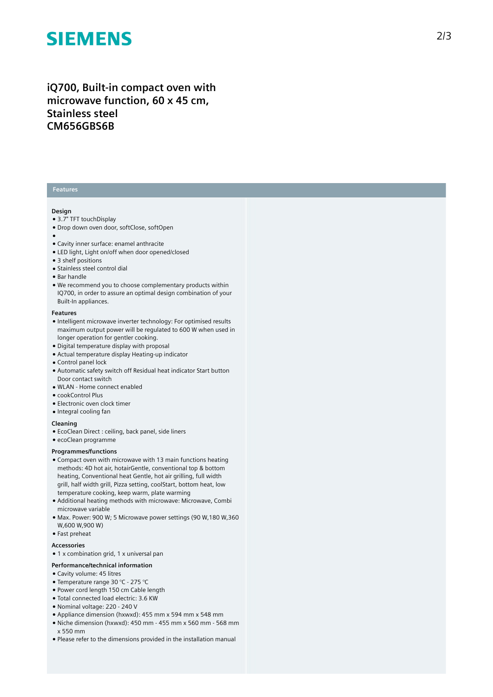# **SIEMENS**

# iQ700, Built-in compact oven with microwave function, 60 x 45 cm, **S t a i n l e s s s t e e l CM656GBS6B**

### **Features**

#### **Design**

- 3.7" TFT touchDisplay
- Drop down oven door, softClose, softOpen
- 
- ●<br>● Cavity inner surface: enamel anthracite
- LED light, Light on/off when door opened/closed
- 3 shelf positions
- Stainless steel control dial
- Bar handle
- We recommend you to choose complementary products within IQ700, in order to assure an optimal design combination of you r Built-In appliances.

#### **F e a t u r e s**

- Intelligent microwave inverter technology: For optimised results maximum output power will be regulated to 600 W when used in longer operation for gentler cooking.
- Digital temperature display with proposal
- Actual temperature display Heating-up indicator
- Control panel lock
- Automatic safety switch off Residual heat indicator Start button Door contact switch
- WLAN Home connect enabled
- cookControl Plus
- Electronic oven clock timer
- Integral cooling fan

#### **Cleaning**

- EcoClean Direct : ceiling, back panel, side liners
- ecoClean programme

#### **Programmes/functions**

- Compact oven with microwave with 13 main functions heating methods: 4D hot air, hotairGentle, conventional top & bottom heating, Conventional heat Gentle, hot air grilling, full width grill, half width grill, Pizza setting, coolStart, bottom heat, low temperature cooking, keep warm, plate warming
- Additional heating methods with microwave: Microwave, Combi microwave variable
- $\bullet$  Max. Power: 900 W; 5 Microwave power settings (90 W,180 W,360 W,600 W,900 W)
- Fast preheat

#### **A c c e s s o r i e s**

- 1 x combination grid, 1 x universal pan
- Performance/technical information

### • Cavity volume: 45 litres

- Temperature range 30 °C 275 °C
- Power cord length 150 cm Cable length
- Total connected load electric: 3.6 KW
- Nominal voltage: 220 240 V
- Appliance dimension (hxwxd): 455 mm x 594 mm x 548 mm
- $\bullet$  Niche dimension (hxwxd): 450 mm 455 mm x 560 mm 568 mm x 550 mm
- Please refer to the dimensions provided in the installation manual